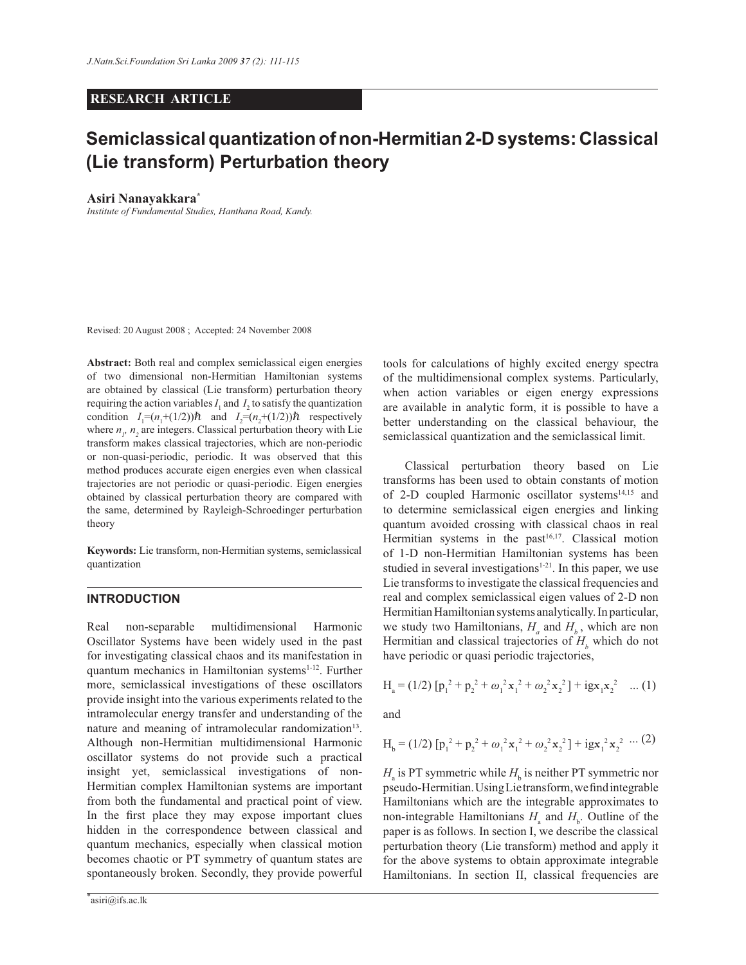# **RESEARCH ARTICLE**

# **Semiclassical quantization of non-Hermitian 2-D systems: Classical (Lie transform) Perturbation theory**

#### **Asiri Nanayakkara\***

*Institute of Fundamental Studies, Hanthana Road, Kandy.*

Revised: 20 August 2008 ; Accepted: 24 November 2008

**Abstract:** Both real and complex semiclassical eigen energies of two dimensional non-Hermitian Hamiltonian systems are obtained by classical (Lie transform) perturbation theory requiring the action variables  $I_1$  and  $I_2$  to satisfy the quantization condition  $I_1 = (n_1 + (1/2))\hbar$  and  $I_2 = (n_2 + (1/2))\hbar$  respectively where  $n_i$ ,  $n_j$  are integers. Classical perturbation theory with Lie transform makes classical trajectories, which are non-periodic or non-quasi-periodic, periodic. It was observed that this method produces accurate eigen energies even when classical trajectories are not periodic or quasi-periodic. Eigen energies obtained by classical perturbation theory are compared with the same, determined by Rayleigh-Schroedinger perturbation theory

**Keywords:** Lie transform, non-Hermitian systems, semiclassical quantization

# **INTRODUCTION**

Real non-separable multidimensional Harmonic Oscillator Systems have been widely used in the past for investigating classical chaos and its manifestation in quantum mechanics in Hamiltonian systems<sup>1-12</sup>. Further more, semiclassical investigations of these oscillators provide insight into the various experiments related to the intramolecular energy transfer and understanding of the nature and meaning of intramolecular randomization<sup>13</sup>. Although non-Hermitian multidimensional Harmonic oscillator systems do not provide such a practical insight yet, semiclassical investigations of non-Hermitian complex Hamiltonian systems are important from both the fundamental and practical point of view. In the first place they may expose important clues hidden in the correspondence between classical and quantum mechanics, especially when classical motion becomes chaotic or PT symmetry of quantum states are spontaneously broken. Secondly, they provide powerful

tools for calculations of highly excited energy spectra of the multidimensional complex systems. Particularly, when action variables or eigen energy expressions are available in analytic form, it is possible to have a better understanding on the classical behaviour, the semiclassical quantization and the semiclassical limit.

 Classical perturbation theory based on Lie transforms has been used to obtain constants of motion of 2-D coupled Harmonic oscillator systems<sup>14,15</sup> and to determine semiclassical eigen energies and linking quantum avoided crossing with classical chaos in real Hermitian systems in the past $16,17$ . Classical motion of 1-D non-Hermitian Hamiltonian systems has been studied in several investigations<sup>1-21</sup>. In this paper, we use Lie transforms to investigate the classical frequencies and real and complex semiclassical eigen values of 2-D non Hermitian Hamiltonian systems analytically. In particular, we study two Hamiltonians,  $H_a$  and  $H_b$ , which are non Hermitian and classical trajectories of  $H<sub>b</sub>$  which do not have periodic or quasi periodic trajectories,

$$
H_a = (1/2) [p_1^2 + p_2^2 + \omega_1^2 x_1^2 + \omega_2^2 x_2^2] + igx_1 x_2^2 \dots (1)
$$

and

$$
H_b = (1/2) [p_1^2 + p_2^2 + \omega_1^2 x_1^2 + \omega_2^2 x_2^2] + ig x_1^2 x_2^2 \cdots (2)
$$

 $H_{\rm a}$  is PT symmetric while  $H_{\rm b}$  is neither PT symmetric nor pseudo-Hermitian. Using Lie transform, we find integrable Hamiltonians which are the integrable approximates to non-integrable Hamiltonians  $H_a$  and  $H_b$ . Outline of the paper is as follows. In section I, we describe the classical perturbation theory (Lie transform) method and apply it for the above systems to obtain approximate integrable Hamiltonians. In section II, classical frequencies are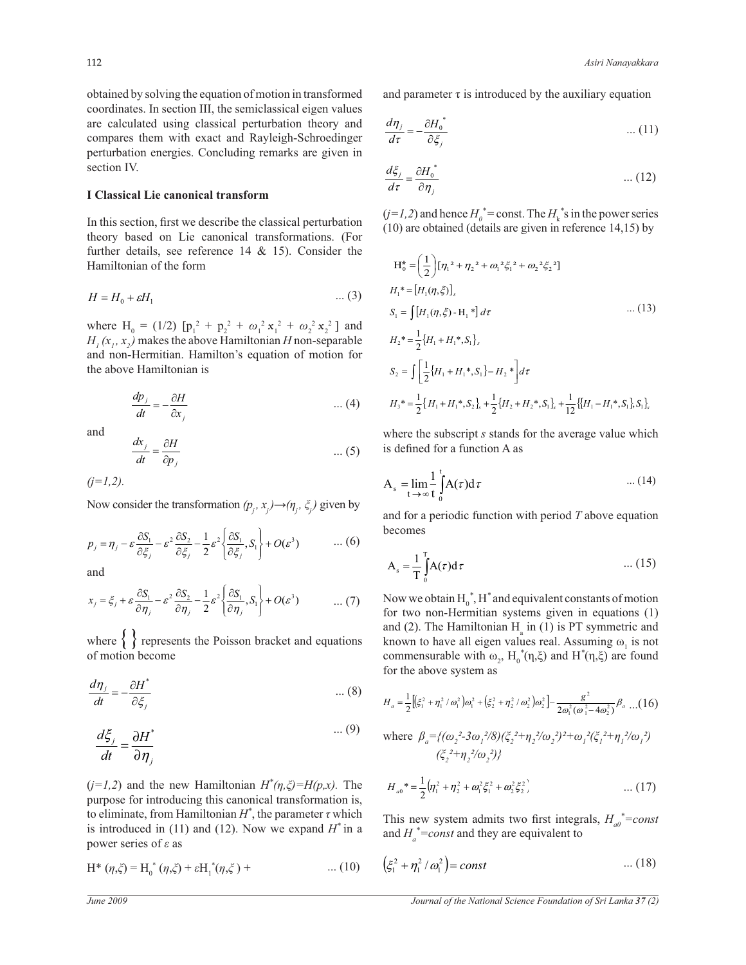obtained by solving the equation of motion in transformed coordinates. In section III, the semiclassical eigen values are calculated using classical perturbation theory and compares them with exact and Rayleigh-Schroedinger perturbation energies. Concluding remarks are given in section IV.

## **I Classical Lie canonical transform**

In this section, first we describe the classical perturbation theory based on Lie canonical transformations. (For further details, see reference  $14 \& 15$ ). Consider the Hamiltonian of the form

$$
H = H_0 + \varepsilon H_1 \tag{3}
$$

where H<sub>0</sub> = (1/2)  $[p_1^2 + p_2^2 + \omega_1^2 x_1^2 + \omega_2^2 x_2^2]$  and  $H_1(x_1, x_2)$  makes the above Hamiltonian *H* non-separable and non-Hermitian. Hamilton's equation of motion for the above Hamiltonian is

$$
\frac{dp_j}{dt} = -\frac{\partial H}{\partial x_j} \qquad \qquad \dots (4)
$$

and

$$
\frac{dx_j}{dt} = \frac{\partial H}{\partial p_j} \qquad \qquad \dots (5)
$$

*(j=1,2).*

Now consider the transformation  $(p_i, x_j) \rightarrow (n_i, \xi_j)$  given by

$$
p_j = \eta_j - \varepsilon \frac{\partial S_1}{\partial \xi_j} - \varepsilon^2 \frac{\partial S_2}{\partial \xi_j} - \frac{1}{2} \varepsilon^2 \left\{ \frac{\partial S_1}{\partial \xi_j}, S_1 \right\} + O(\varepsilon^3) \qquad \dots (6)
$$
  
and

and

$$
x_j = \xi_j + \varepsilon \frac{\partial S_1}{\partial \eta_j} - \varepsilon^2 \frac{\partial S_2}{\partial \eta_j} - \frac{1}{2} \varepsilon^2 \left\{ \frac{\partial S_1}{\partial \eta_j}, S_1 \right\} + O(\varepsilon^3) \qquad \dots (7)
$$

where  $\left\{ \right\}$  represents the Poisson bracket and equations of motion become

$$
\frac{d\eta_j}{dt} = -\frac{\partial H^*}{\partial \xi_j} \tag{8}
$$

$$
\frac{d\xi_j}{dt} = \frac{\partial H^*}{\partial \eta_j} \tag{9}
$$

 $(j=1,2)$  and the new Hamiltonian  $H^*(\eta,\xi) = H(p,x)$ . The to eliminate, from Hamiltonian  $H^*$ , the parameter  $\tau$  which purpose for introducing this canonical transformation is, is introduced in (11) and (12). Now we expand *H \** in a power series of *ε* as

$$
H^* (\eta, \xi) = H_0^* (\eta, \xi) + \varepsilon H_1^* (\eta, \xi) + \dots (10)
$$

and parameter  $\tau$  is introduced by the auxiliary equation

$$
\frac{d\eta_j}{d\tau} = -\frac{\partial H_0^*}{\partial \xi_j} \tag{11}
$$

$$
\frac{d\xi_j}{d\tau} = \frac{\partial H_0^*}{\partial \eta_j} \qquad \qquad \dots (12)
$$

 $(j=1,2)$  and hence  $H_0^*$  = const. The  $H_k^*$ 's in the power series (10) are obtained (details are given in reference 14,15) by

$$
H_0^* = \left(\frac{1}{2}\right) [\eta_1^2 + \eta_2^2 + \omega_1^2 \xi_1^2 + \omega_2^2 \xi_2^2]
$$
  
\n
$$
H_1^* = [H_1(\eta, \xi)],
$$
  
\n
$$
S_1 = \int [H_1(\eta, \xi) - H_1^*] d\tau
$$
 ... (13)  
\n
$$
H_2^* = \frac{1}{2} \{H_1 + H_1^*, S_1\},
$$
  
\n
$$
S_2 = \int \left[\frac{1}{2} \{H_1 + H_1^*, S_1\} - H_2^* \right] d\tau
$$
  
\n
$$
H_3^* = \frac{1}{2} \{H_1 + H_1^*, S_2\}_s + \frac{1}{2} \{H_2 + H_2^*, S_1\}_s + \frac{1}{12} \{H_1 - H_1^*, S_1\}_s S_1\},
$$

where the subscript *s* stands for the average value which is defined for a function A as

$$
A_s = \lim_{t \to \infty} \frac{1}{t} \int_0^t A(\tau) d\tau \qquad \qquad \dots (14)
$$

and for a periodic function with period *T* above equation becomes

$$
A_s = \frac{1}{T} \int_0^T A(\tau) d\tau \qquad \qquad \dots (15)
$$

commensurable with  $\omega_2$ ,  $H_0^*(\eta,\xi)$  and  $H^*(\eta,\xi)$  are found Now we obtain  $H_0^*$ ,  $H^*$  and equivalent constants of motion for two non-Hermitian systems given in equations (1) and (2). The Hamiltonian  $H_a$  in (1) is PT symmetric and known to have all eigen values real. Assuming  $\omega_1$  is not for the above system as

$$
H_{a} = \frac{1}{2} \left[ \left( \xi_{1}^{2} + \eta_{1}^{2} / \omega_{1}^{2} \right) \omega_{1}^{2} + \left( \xi_{2}^{2} + \eta_{2}^{2} / \omega_{2}^{2} \right) \omega_{2}^{2} \right] - \frac{g^{2}}{2 \omega_{1}^{2} (\omega_{1}^{2} - 4 \omega_{2}^{2})} \beta_{a} \dots (16)
$$

where 
$$
\beta_a = \{ (\omega_2^2 - 3\omega_1^2/8)(\xi_2^2 + \eta_2^2/\omega_2^2)^2 + \omega_1^2(\xi_1^2 + \eta_1^2/\omega_1^2) \}
$$
  
 $(\xi_2^2 + \eta_2^2/\omega_2^2)\}$ 

$$
H_{a0}^{\prime} = \frac{1}{2} \left( \eta_1^2 + \eta_2^2 + \omega_1^2 \xi_1^2 + \omega_2^2 \xi_2^2 \right) \qquad \qquad \dots (17)
$$

This new system admits two first integrals,  $H_{a0}^* = const$ and  $H_a^*$ =const and they are equivalent to

10) 
$$
\left(\xi_1^2 + \eta_1^2/\omega_1^2\right) = const
$$
 ... (18)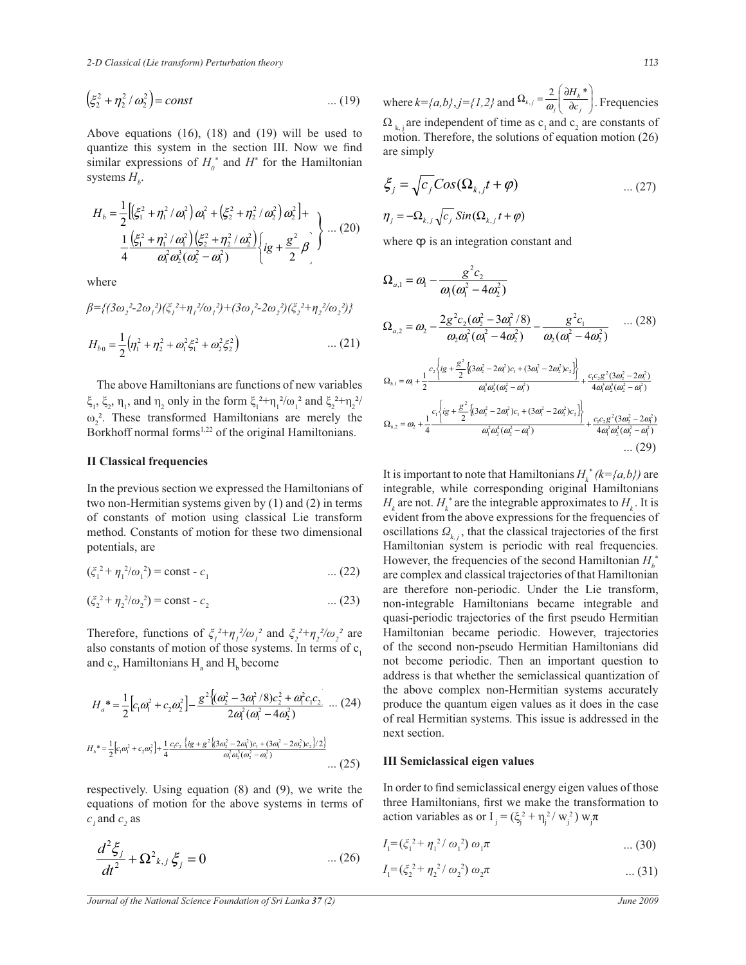*2-D Classical (Lie transform) Perturbation theory 113*

$$
(\xi_2^2 + \eta_2^2 / \omega_2^2) = const \qquad \qquad \dots (19)
$$

Above equations (16), (18) and (19) will be used to quantize this system in the section III. Now we find similar expressions of  $H_0^*$  and  $H^*$  for the Hamiltonian systems  $H_b$ .

$$
H_b = \frac{1}{2} \Big[ \Big( \xi_1^2 + \eta_1^2 / \omega_1^2 \Big) \omega_1^2 + \Big( \xi_2^2 + \eta_2^2 / \omega_2^2 \Big) \omega_2^2 \Big] + \frac{1}{4} \frac{\Big( \xi_1^2 + \eta_1^2 / \omega_1^2 \Big) \Big( \xi_2^2 + \eta_2^2 / \omega_2^2 \Big)}{\omega_1^2 \omega_2^3 (\omega_2^2 - \omega_1^2)} \Big\{ ig + \frac{g^2}{2} \beta \Big\} \dots (20)
$$

where

$$
\beta = \{ (3\omega_2^2 - 2\omega_1^2)(\xi_1^2 + \eta_1^2/\omega_1^2) + (3\omega_1^2 - 2\omega_2^2)(\xi_2^2 + \eta_2^2/\omega_2^2) \}
$$
  

$$
H_{b0} = \frac{1}{2} (\eta_1^2 + \eta_2^2 + \omega_1^2 \xi_1^2 + \omega_2^2 \xi_2^2) \qquad \qquad \dots (21)
$$

 The above Hamiltonians are functions of new variables  $\xi_1$ ,  $\xi_2$ ,  $\eta_1$ , and  $\eta_2$  only in the form  $\xi_1^2 + \eta_1^2/\omega_1^2$  and  $\xi_2^2 + \eta_2^2/\omega_1^2$  $\omega_2^2$ . These transformed Hamiltonians are merely the Borkhoff normal forms<sup>1,22</sup> of the original Hamiltonians.

## **II Classical frequencies**

In the previous section we expressed the Hamiltonians of two non-Hermitian systems given by (1) and (2) in terms of constants of motion using classical Lie transform method. Constants of motion for these two dimensional potentials, are

$$
(\xi_1^2 + \eta_1^2/\omega_1^2) = \text{const} - c_1 \tag{22}
$$

$$
(\xi_2^2 + \eta_2^2/\omega_2^2) = \text{const} - c_2 \tag{23}
$$

Therefore, functions of  $\zeta_i^2 + \eta_i^2/\omega_i^2$  and  $\zeta_2^2 + \eta_2^2/\omega_2^2$  are also constants of motion of those systems. In terms of  $c<sub>1</sub>$ and  $c_2$ , Hamiltonians  $H_a$  and  $H_b$  become

$$
H_{a}^{*} = \frac{1}{2} \Big[ c_{1} \omega_{1}^{2} + c_{2} \omega_{2}^{2} \Big] - \frac{g^{2} \Big\{ (\omega_{2}^{2} - 3\omega_{1}^{2} / 8) c_{2}^{2} + \omega_{1}^{2} c_{1} c_{2}}{2\omega_{1}^{2} (\omega_{1}^{2} - 4\omega_{2}^{2})} \dots (24)
$$
  

$$
H_{b}^{*} = \frac{1}{2} \Big[ c_{1} \omega_{1}^{2} + c_{2} \omega_{2}^{2} \Big] + \frac{1}{4} \frac{c_{1} c_{2} \Big\{ ig + g^{2} \Big\{ (3\omega_{2}^{2} - 2\omega_{1}^{2}) c_{1} + (3\omega_{1}^{2} - 2\omega_{2}^{2}) c_{2} \Big\} / 2 \Big\}}{\omega_{1}^{2} \omega_{2}^{3} (\omega_{2}^{2} - \omega_{1}^{2})} \dots (25)
$$

respectively. Using equation (8) and (9), we write the equations of motion for the above systems in terms of  $c_i$  and  $c_j$  as

$$
\frac{d^2 \xi_j}{dt^2} + \Omega^2_{k,j} \xi_j = 0 \qquad \qquad \dots (26)
$$

where  $k = \{(a,b\}, j = \{1,2\} \text{ and } \Omega_{k,j} = \frac{2}{\omega} \left| \frac{\partial H_k}{\partial c} \right|$ - $\Omega_{k,j}$  are independent of time as  $c_1$  and  $c_2$  are constants of  $\backslash$  $\overline{\phantom{a}}$ l ſ  $\partial$  $\Omega_{k,j} = \frac{2}{\omega_j} \left( \frac{\partial H_k}{\partial c_j} \right)$ *k*  $\omega$ <sup>*k*</sup>,*j*  $\rightarrow$  *dc*  $L_{i,j} = \frac{2}{\omega} \left( \frac{\partial H_k^*}{\partial c} \right)$ . Frequencies motion. Therefore, the solutions of equation motion (26) are simply

$$
\xi_j = \sqrt{c_j} \cos(\Omega_{k,j} t + \varphi) \qquad \qquad \dots (27)
$$

$$
\eta_j = -\Omega_{k,j} \sqrt{c_j} \sin(\Omega_{k,j} t + \varphi)
$$

where  $\varphi$  is an integration constant and

$$
\Omega_{a,1} = \omega_1 - \frac{g^2 c_2}{\omega_1 (\omega_1^2 - 4\omega_2^2)}
$$
\n
$$
\Omega_{a,2} = \omega_2 - \frac{2g^2 c_2 (\omega_2^2 - 3\omega_1^2 / 8)}{\omega_2 \omega_1^2 (\omega_1^2 - 4\omega_2^2)} - \frac{g^2 c_1}{\omega_2 (\omega_1^2 - 4\omega_2^2)} \dots (28)
$$
\n
$$
\Omega_{b,1} = \omega_1 + \frac{1}{2} \frac{c_2 \left\{ i g + \frac{g^2}{2} \left\{ (3\omega_2^2 - 2\omega_1^2)c_1 + (3\omega_1^2 - 2\omega_2^2)c_2 \right\} \right\}}{\omega_1^3 \omega_2^3 (\omega_2^2 - \omega_1^2)} + \frac{c_1 c_2 g^2 (3\omega_2^2 - 2\omega_1^2)}{4\omega_1^3 \omega_2^3 (\omega_2^2 - \omega_1^2)}
$$
\n
$$
\Omega_{b,2} = \omega_2 + \frac{1}{4} \frac{c_1 \left\{ i g + \frac{g^2}{2} \left\{ (3\omega_2^2 - 2\omega_1^2)c_1 + (3\omega_1^2 - 2\omega_2^2)c_2 \right\} \right\}}{\omega_1^2 \omega_2^4 (\omega_2^2 - \omega_1^2)} + \frac{c_1 c_2 g^2 (3\omega_2^2 - 2\omega_1^2)}{4\omega_1^2 \omega_2^4 (\omega_2^2 - \omega_1^2)} \dots (29)
$$

It is important to note that Hamiltonians  $H_k^*(k = \{a, b\})$  are integrable, while corresponding original Hamiltonians  $H_k$  are not.  $H_k^*$  are the integrable approximates to  $H_k$ . It is evident from the above expressions for the frequencies of oscillations  $Q_{k,i}$ , that the classical trajectories of the first Hamiltonian system is periodic with real frequencies. However, the frequencies of the second Hamiltonian *H<sup>b</sup>* \* are complex and classical trajectories of that Hamiltonian are therefore non-periodic. Under the Lie transform, non-integrable Hamiltonians became integrable and quasi-periodic trajectories of the first pseudo Hermitian Hamiltonian became periodic. However, trajectories of the second non-pseudo Hermitian Hamiltonians did not become periodic. Then an important question to address is that whether the semiclassical quantization of the above complex non-Hermitian systems accurately produce the quantum eigen values as it does in the case of real Hermitian systems. This issue is addressed in the next section.

#### **III Semiclassical eigen values**

In order to find semiclassical energy eigen values of those three Hamiltonians, first we make the transformation to action variables as or  $I_j = (\xi_j^2 + \eta_j^2 / w_j^2) w_j \pi$ 

$$
I_1 = (\xi_1^2 + \eta_1^2 / \omega_1^2) \omega_1 \pi \qquad \qquad \dots (30)
$$

$$
I_1 = (\xi_2^2 + \eta_2^2 / \omega_2^2) \omega_2 \pi \qquad \qquad \dots (31)
$$

*Journal of the National Science Foundation of Sri Lanka 37 (2) June 2009*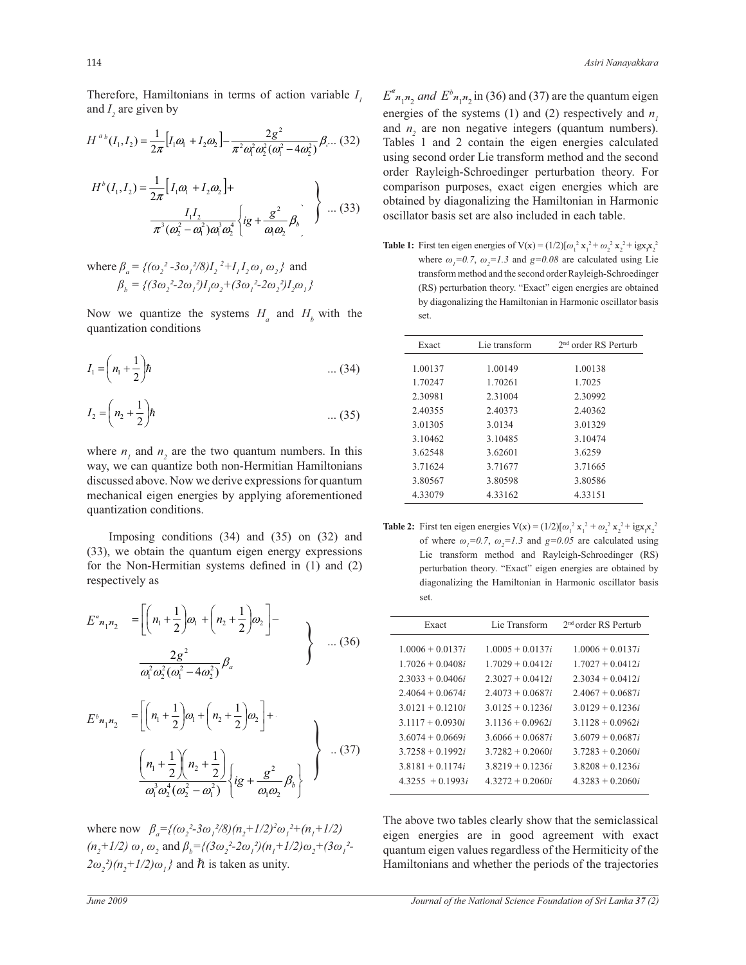Therefore, Hamiltonians in terms of action variable *I 1* and  $I_2$  are given by

$$
H^{ab}(I_1, I_2) = \frac{1}{2\pi} \Big[ I_1 \omega_1 + I_2 \omega_2 \Big] - \frac{2g^2}{\pi^2 \omega_1^2 \omega_2^2 (\omega_1^2 - 4\omega_2^2)} \beta_{\cdots} (32)
$$
  

$$
H^b(I_1, I_2) = \frac{1}{2\pi} \Big[ I_1 \omega_1 + I_2 \omega_2 \Big] +
$$
  

$$
\frac{I_1 I_2}{\pi^3 (\omega_2^2 - \omega_1^2) \omega_1^3 \omega_2^4} \Big\{ ig + \frac{g^2}{\omega_1 \omega_2} \beta_b \Big\} \dots (33)
$$

where  $\beta_a = \{(\omega_2^2 - 3\omega_1^2/8)I_2^2 + I_1I_2\omega_1\omega_2\}$  and  $\beta_b = \{(3\omega_2^2 - 2\omega_1^2)I_1\omega_2 + (3\omega_1^2 - 2\omega_2^2)I_2\omega_1\}$ 

Now we quantize the systems  $H_a$  and  $H_b$  with the quantization conditions

$$
I_1 = \left(n_1 + \frac{1}{2}\right)\hbar \qquad \qquad \dots (34)
$$

$$
I_2 = \left(n_2 + \frac{1}{2}\right) \hbar \tag{35}
$$

where  $n_1$  and  $n_2$  are the two quantum numbers. In this way, we can quantize both non-Hermitian Hamiltonians discussed above. Now we derive expressions for quantum mechanical eigen energies by applying aforementioned quantization conditions.

 Imposing conditions (34) and (35) on (32) and (33), we obtain the quantum eigen energy expressions for the Non-Hermitian systems defined in (1) and (2) respectively as

$$
E^{a}_{n_1 n_2} = \left[ \left( n_1 + \frac{1}{2} \right) \omega_1 + \left( n_2 + \frac{1}{2} \right) \omega_2 \right] - \frac{2g^2}{\omega_1^2 \omega_2^2 (\omega_1^2 - 4\omega_2^2)} \beta_a \qquad (36)
$$

$$
E^{b}{}_{n_1 n_2} = \left[ \left( n_1 + \frac{1}{2} \right) \omega_1 + \left( n_2 + \frac{1}{2} \right) \omega_2 \right] + \frac{1}{2} \left[ \frac{n_1 + \frac{1}{2} \left( n_2 + \frac{1}{2} \right)}{\omega_1^3 \omega_2^4 (\omega_2^2 - \omega_1^2)} \left\{ ig + \frac{g^2}{\omega_1 \omega_2} \beta_b \right\} \right] \quad (37)
$$

where now  $\beta_a = \frac{2}{( \omega_2^2 - 3\omega_1^2/8)(n_2 + 1/2)^2 \omega_1^2 + (n_1 + 1/2)^2}$  $(n_2+1/2)$   $\omega_1 \omega_2$  and  $\beta_b = \{(3\omega_2^2-2\omega_1^2)(n_1+1/2)\omega_2 + (3\omega_1^2-1)\omega_2^2\}$  $(2\omega_2^2)(n_2^2+1/2)\omega_1^2$  and  $\hbar$  is taken as unity.

 $E^a_{n_1 n_2}$  *and*  $E^b_{n_1 n_2}$  in (36) and (37) are the quantum eigen energies of the systems (1) and (2) respectively and  $n_i$ and  $n<sub>2</sub>$  are non negative integers (quantum numbers). Tables 1 and 2 contain the eigen energies calculated using second order Lie transform method and the second order Rayleigh-Schroedinger perturbation theory. For comparison purposes, exact eigen energies which are

**Table 1:** First ten eigen energies of  $V(x) = (1/2)[\omega_1^2 x_1^2 + \omega_2^2 x_2^2 + igx_1x_2^2$ where  $\omega_i = 0.7$ ,  $\omega_i = 1.3$  and  $g = 0.08$  are calculated using Lie transform method and the second order Rayleigh-Schroedinger (RS) perturbation theory. "Exact" eigen energies are obtained by diagonalizing the Hamiltonian in Harmonic oscillator basis set.

obtained by diagonalizing the Hamiltonian in Harmonic oscillator basis set are also included in each table.

| Exact   | Lie transform | 2 <sup>nd</sup> order RS Perturb |
|---------|---------------|----------------------------------|
| 1.00137 | 1.00149       | 1.00138                          |
| 1.70247 | 1.70261       | 1.7025                           |
| 2.30981 | 2.31004       | 2.30992                          |
| 2.40355 | 2.40373       | 2.40362                          |
| 3.01305 | 3.0134        | 3.01329                          |
| 3.10462 | 3.10485       | 3.10474                          |
| 3.62548 | 3.62601       | 3.6259                           |
| 3.71624 | 3.71677       | 3.71665                          |
| 3.80567 | 3.80598       | 3.80586                          |
| 4.33079 | 4.33162       | 4.33151                          |

**Table 2:** First ten eigen energies  $V(x) = (1/2)[\omega_1^2 x_1^2 + \omega_2^2 x_2^2 + igx_1x_2^2$ of where  $\omega_1 = 0.7$ ,  $\omega_2 = 1.3$  and  $g = 0.05$  are calculated using Lie transform method and Rayleigh-Schroedinger (RS) perturbation theory. "Exact" eigen energies are obtained by diagonalizing the Hamiltonian in Harmonic oscillator basis set.

| Exact              | Lie Transform      | $2nd$ order RS Perturb |
|--------------------|--------------------|------------------------|
| $1.0006 + 0.0137i$ | $1.0005 + 0.0137i$ | $1.0006 + 0.0137i$     |
| $17026 + 0.0408i$  | $17029 + 0.0412i$  | $17027 + 0.0412i$      |
| $2.3033 + 0.0406i$ | $2.3027 + 0.0412i$ | $2.3034 + 0.0412i$     |
| $2.4064 + 0.0674i$ | $2.4073 + 0.0687i$ | $2.4067 + 0.0687i$     |
| $3.0121 + 0.1210i$ | $3.0125 + 0.1236i$ | $3.0129 + 0.1236i$     |
| $3.1117 + 0.0930i$ | $31136 + 00962i$   | $31128 + 00962i$       |
| $3.6074 + 0.0669i$ | $3.6066 + 0.0687i$ | $3.6079 + 0.0687i$     |
| $37258 + 01992i$   | $37282 + 02060i$   | $37283 + 02060i$       |
| $3.8181 + 0.1174i$ | $3.8219 + 0.1236i$ | $3.8208 + 0.1236i$     |
| $43255 + 01993i$   | $43272 + 02060i$   | $4.3283 + 0.2060i$     |

The above two tables clearly show that the semiclassical eigen energies are in good agreement with exact quantum eigen values regardless of the Hermiticity of the Hamiltonians and whether the periods of the trajectories